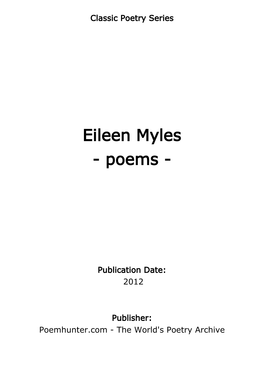Classic Poetry Series

# Eileen Myles - poems -

Publication Date: 2012

Publisher:

Poemhunter.com - The World's Poetry Archive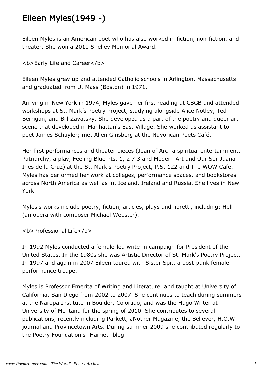### Eileen Myles(1949 -)

Eileen Myles is an American poet who has also worked in fiction, non-fiction, and theater. She won a 2010 Shelley Memorial Award.

<b>Early Life and Career</b>

Eileen Myles grew up and attended Catholic schools in Arlington, Massachusetts and graduated from U. Mass (Boston) in 1971.

Arriving in New York in 1974, Myles gave her first reading at CBGB and attended workshops at St. Mark's Poetry Project, studying alongside Alice Notley, Ted Berrigan, and Bill Zavatsky. She developed as a part of the poetry and queer art scene that developed in Manhattan's East Village. She worked as assistant to poet James Schuyler; met Allen Ginsberg at the Nuyorican Poets Café.

Her first performances and theater pieces (Joan of Arc: a spiritual entertainment, Patriarchy, a play, Feeling Blue Pts. 1, 2 7 3 and Modern Art and Our Sor Juana Ines de la Cruz) at the St. Mark's Poetry Project, P.S. 122 and The WOW Café. Myles has performed her work at colleges, performance spaces, and bookstores across North America as well as in, Iceland, Ireland and Russia. She lives in New York.

Myles's works include poetry, fiction, articles, plays and libretti, including: Hell (an opera with composer Michael Webster).

<b>Professional Life</b>

In 1992 Myles conducted a female-led write-in campaign for President of the United States. In the 1980s she was Artistic Director of St. Mark's Poetry Project. In 1997 and again in 2007 Eileen toured with Sister Spit, a post-punk female performance troupe.

Myles is Professor Emerita of Writing and Literature, and taught at University of California, San Diego from 2002 to 2007. She continues to teach during summers at the Naropa Institute in Boulder, Colorado, and was the Hugo Writer at University of Montana for the spring of 2010. She contributes to several publications, recently including Parkett, aNother Magazine, the Believer, H.O.W journal and Provincetown Arts. During summer 2009 she contributed regularly to the Poetry Foundation's "Harriet" blog.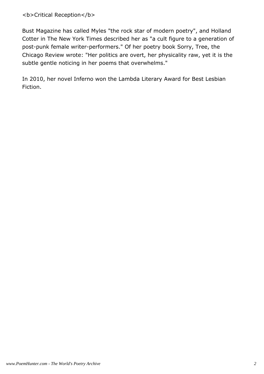#### <b>Critical Reception</b>

Bust Magazine has called Myles "the rock star of modern poetry", and Holland Cotter in The New York Times described her as "a cult figure to a generation of post-punk female writer-performers." Of her poetry book Sorry, Tree, the Chicago Review wrote: "Her politics are overt, her physicality raw, yet it is the subtle gentle noticing in her poems that overwhelms."

In 2010, her novel Inferno won the Lambda Literary Award for Best Lesbian Fiction.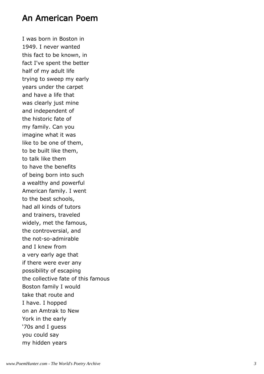#### An American Poem

I was born in Boston in 1949. I never wanted this fact to be known, in fact I've spent the better half of my adult life trying to sweep my early years under the carpet and have a life that was clearly just mine and independent of the historic fate of my family. Can you imagine what it was like to be one of them, to be built like them, to talk like them to have the benefits of being born into such a wealthy and powerful American family. I went to the best schools, had all kinds of tutors and trainers, traveled widely, met the famous, the controversial, and the not-so-admirable and I knew from a very early age that if there were ever any possibility of escaping the collective fate of this famous Boston family I would take that route and I have. I hopped on an Amtrak to New York in the early '70s and I guess you could say my hidden years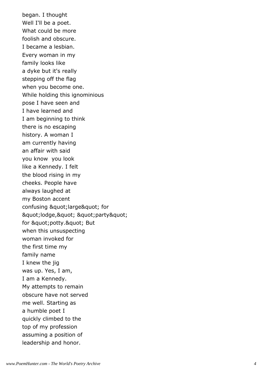began. I thought Well I'll be a poet. What could be more foolish and obscure. I became a lesbian. Every woman in my family looks like a dyke but it's really stepping off the flag when you become one. While holding this ignominious pose I have seen and I have learned and I am beginning to think there is no escaping history. A woman I am currently having an affair with said you know you look like a Kennedy. I felt the blood rising in my cheeks. People have always laughed at my Boston accent confusing " large" for " lodge, " " party " for " potty. " But when this unsuspecting woman invoked for the first time my family name I knew the jig was up. Yes, I am, I am a Kennedy. My attempts to remain obscure have not served me well. Starting as a humble poet I quickly climbed to the top of my profession assuming a position of leadership and honor.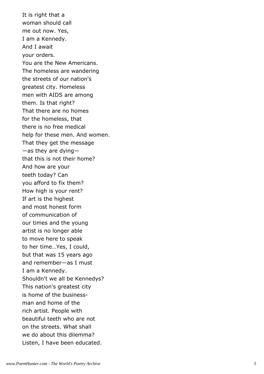It is right that a woman should call me out now. Yes, I am a Kennedy. And I await your orders. You are the New Americans. The homeless are wandering the streets of our nation's greatest city. Homeless men with AIDS are among them. Is that right? That there are no homes for the homeless, that there is no free medical help for these men. And women. That they get the message —as they are dying that this is not their home? And how are your teeth today? Can you afford to fix them? How high is your rent? If art is the highest and most honest form of communication of our times and the young artist is no longer able to move here to speak to her time…Yes, I could, but that was 15 years ago and remember—as I must I am a Kennedy. Shouldn't we all be Kennedys? This nation's greatest city is home of the businessman and home of the rich artist. People with beautiful teeth who are not on the streets. What shall we do about this dilemma? Listen, I have been educated.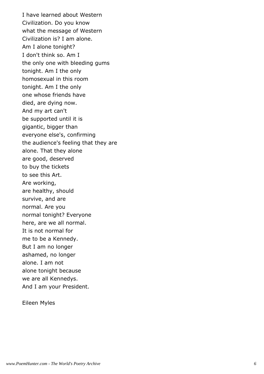I have learned about Western Civilization. Do you know what the message of Western Civilization is? I am alone. Am I alone tonight? I don't think so. Am I the only one with bleeding gums tonight. Am I the only homosexual in this room tonight. Am I the only one whose friends have died, are dying now. And my art can't be supported until it is gigantic, bigger than everyone else's, confirming the audience's feeling that they are alone. That they alone are good, deserved to buy the tickets to see this Art. Are working, are healthy, should survive, and are normal. Are you normal tonight? Everyone here, are we all normal. It is not normal for me to be a Kennedy. But I am no longer ashamed, no longer alone. I am not alone tonight because we are all Kennedys. And I am your President.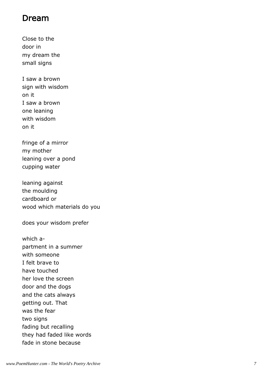#### Dream

Close to the door in my dream the small signs

I saw a brown sign with wisdom on it I saw a brown one leaning with wisdom on it

fringe of a mirror my mother leaning over a pond cupping water

leaning against the moulding cardboard or wood which materials do you

does your wisdom prefer

which apartment in a summer with someone I felt brave to have touched her love the screen door and the dogs and the cats always getting out. That was the fear two signs fading but recalling they had faded like words fade in stone because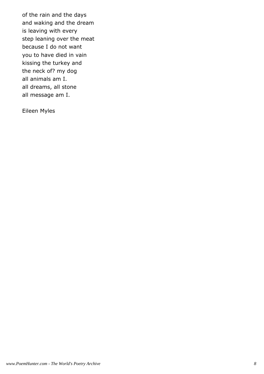of the rain and the days and waking and the dream is leaving with every step leaning over the meat because I do not want you to have died in vain kissing the turkey and the neck of? my dog all animals am I. all dreams, all stone all message am I.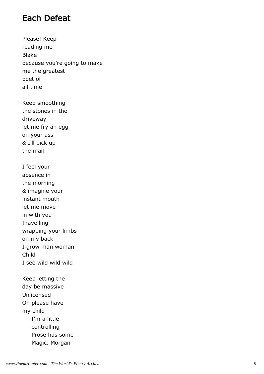#### Each Defeat

Please! Keep reading me Blake because you're going to make me the greatest poet of all time

Keep smoothing the stones in the driveway let me fry an egg on your ass & I'll pick up the mail.

I feel your absence in the morning & imagine your instant mouth let me move in with you— **Travelling** wrapping your limbs on my back I grow man woman Child I see wild wild wild

Keep letting the day be massive Unlicensed Oh please have my child I'm a little controlling Prose has some Magic. Morgan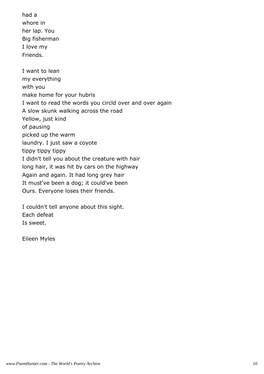had a whore in her lap. You Big fisherman I love my Friends.

I want to lean my everything with you make home for your hubris I want to read the words you circld over and over again A slow skunk walking across the road Yellow, just kind of pausing picked up the warm laundry. I just saw a coyote tippy tippy tippy I didn't tell you about the creature with hair long hair, it was hit by cars on the highway Again and again. It had long grey hair It must've been a dog; it could've been Ours. Everyone loses their friends.

I couldn't tell anyone about this sight. Each defeat Is sweet.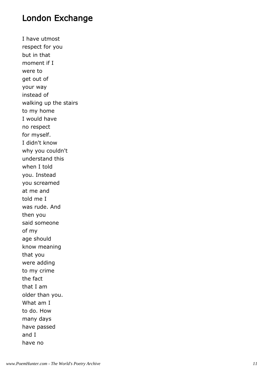#### London Exchange

I have utmost respect for you but in that moment if I were to get out of your way instead of walking up the stairs to my home I would have no respect for myself. I didn't know why you couldn't understand this when I told you. Instead you screamed at me and told me I was rude. And then you said someone of my age should know meaning that you were adding to my crime the fact that I am older than you. What am I to do. How many days have passed and I have no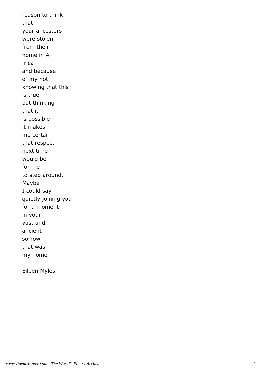reason to think that your ancestors were stolen from their home in Africa and because of my not knowing that this is true but thinking that it is possible it makes me certain that respect next time would be for me to step around. Maybe I could say quietly joining you for a moment in your vast and ancient sorrow that was my home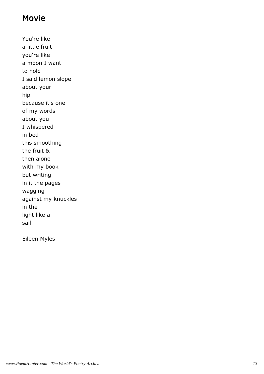#### **Movie**

You're like a little fruit you're like a moon I want to hold I said lemon slope about your hip because it's one of my words about you I whispered in bed this smoothing the fruit & then alone with my book but writing in it the pages wagging against my knuckles in the light like a sail.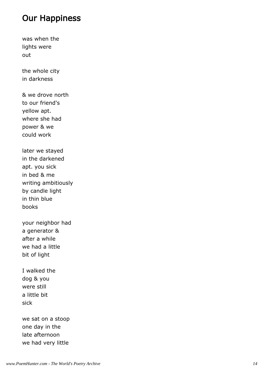#### Our Happiness

was when the lights were out

the whole city in darkness

& we drove north to our friend's yellow apt. where she had power & we could work

later we stayed in the darkened apt. you sick in bed & me writing ambitiously by candle light in thin blue books

your neighbor had a generator & after a while we had a little bit of light

I walked the dog & you were still a little bit sick

we sat on a stoop one day in the late afternoon we had very little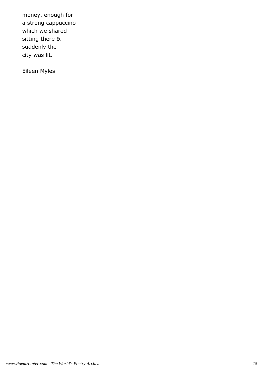money. enough for a strong cappuccino which we shared sitting there & suddenly the city was lit.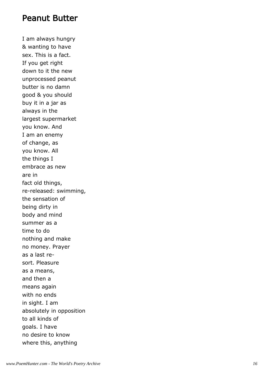#### Peanut Butter

I am always hungry & wanting to have sex. This is a fact. If you get right down to it the new unprocessed peanut butter is no damn good & you should buy it in a jar as always in the largest supermarket you know. And I am an enemy of change, as you know. All the things I embrace as new are in fact old things, re-released: swimming, the sensation of being dirty in body and mind summer as a time to do nothing and make no money. Prayer as a last resort. Pleasure as a means, and then a means again with no ends in sight. I am absolutely in opposition to all kinds of goals. I have no desire to know where this, anything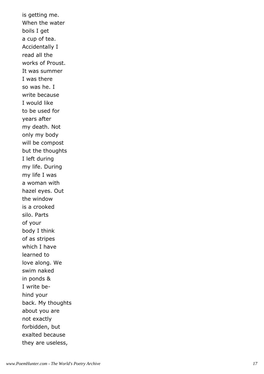is getting me. When the water boils I get a cup of tea. Accidentally I read all the works of Proust. It was summer I was there so was he. I write because I would like to be used for years after my death. Not only my body will be compost but the thoughts I left during my life. During my life I was a woman with hazel eyes. Out the window is a crooked silo. Parts of your body I think of as stripes which I have learned to love along. We swim naked in ponds & I write behind your back. My thoughts about you are not exactly forbidden, but exalted because they are useless,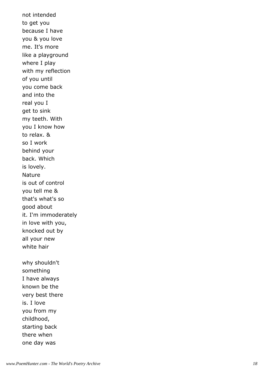not intended to get you because I have you & you love me. It's more like a playground where I play with my reflection of you until you come back and into the real you I get to sink my teeth. With you I know how to relax. & so I work behind your back. Which is lovely. Nature is out of control you tell me & that's what's so good about it. I'm immoderately in love with you, knocked out by all your new white hair why shouldn't something I have always known be the very best there is. I love you from my childhood, starting back there when one day was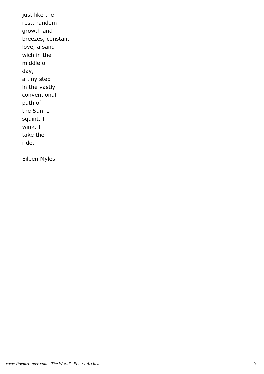just like the rest, random growth and breezes, constant love, a sandwich in the middle of day, a tiny step in the vastly conventional path of the Sun. I squint. I wink. I take the ride.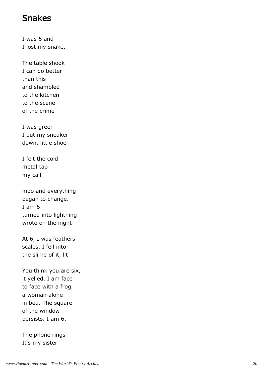#### Snakes

I was 6 and I lost my snake.

The table shook I can do better than this and shambled to the kitchen to the scene of the crime

I was green I put my sneaker down, little shoe

I felt the cold metal tap my calf

moo and everything began to change. I am 6 turned into lightning wrote on the night

At 6, I was feathers scales, I fell into the slime of it, lit

You think you are six, it yelled. I am face to face with a frog a woman alone in bed. The square of the window persists. I am 6.

The phone rings It's my sister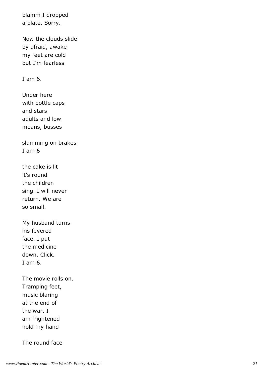blamm I dropped a plate. Sorry.

Now the clouds slide by afraid, awake my feet are cold but I'm fearless

I am 6.

Under here with bottle caps and stars adults and low moans, busses

slamming on brakes I am 6

the cake is lit it's round the children sing. I will never return. We are so small.

My husband turns his fevered face. I put the medicine down. Click. I am 6.

The movie rolls on. Tramping feet, music blaring at the end of the war. I am frightened hold my hand

The round face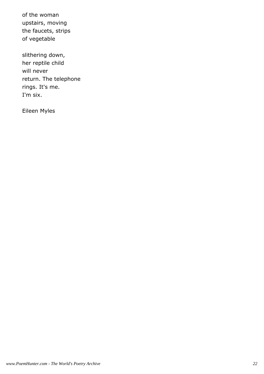of the woman upstairs, moving the faucets, strips of vegetable

slithering down, her reptile child will never return. The telephone rings. It's me. I'm six.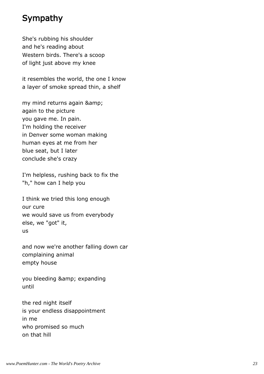#### Sympathy

She's rubbing his shoulder and he's reading about Western birds. There's a scoop of light just above my knee

it resembles the world, the one I know a layer of smoke spread thin, a shelf

my mind returns again & again to the picture you gave me. In pain. I'm holding the receiver in Denver some woman making human eyes at me from her blue seat, but I later conclude she's crazy

I'm helpless, rushing back to fix the "h," how can I help you

I think we tried this long enough our cure we would save us from everybody else, we "got" it, us

and now we're another falling down car complaining animal empty house

you bleeding & amp; expanding until

the red night itself is your endless disappointment in me who promised so much on that hill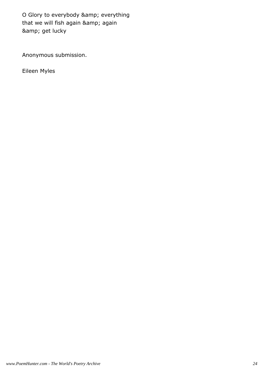O Glory to everybody & amp; everything that we will fish again & amp; again & amp; get lucky

Anonymous submission.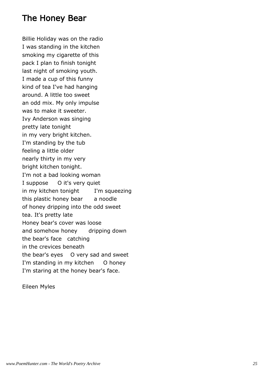#### The Honey Bear

Billie Holiday was on the radio I was standing in the kitchen smoking my cigarette of this pack I plan to finish tonight last night of smoking youth. I made a cup of this funny kind of tea I've had hanging around. A little too sweet an odd mix. My only impulse was to make it sweeter. Ivy Anderson was singing pretty late tonight in my very bright kitchen. I'm standing by the tub feeling a little older nearly thirty in my very bright kitchen tonight. I'm not a bad looking woman I suppose O it's very quiet in my kitchen tonight I'm squeezing this plastic honey bear a noodle of honey dripping into the odd sweet tea. It's pretty late Honey bear's cover was loose and somehow honey dripping down the bear's face catching in the crevices beneath the bear's eyes O very sad and sweet I'm standing in my kitchen O honey I'm staring at the honey bear's face.